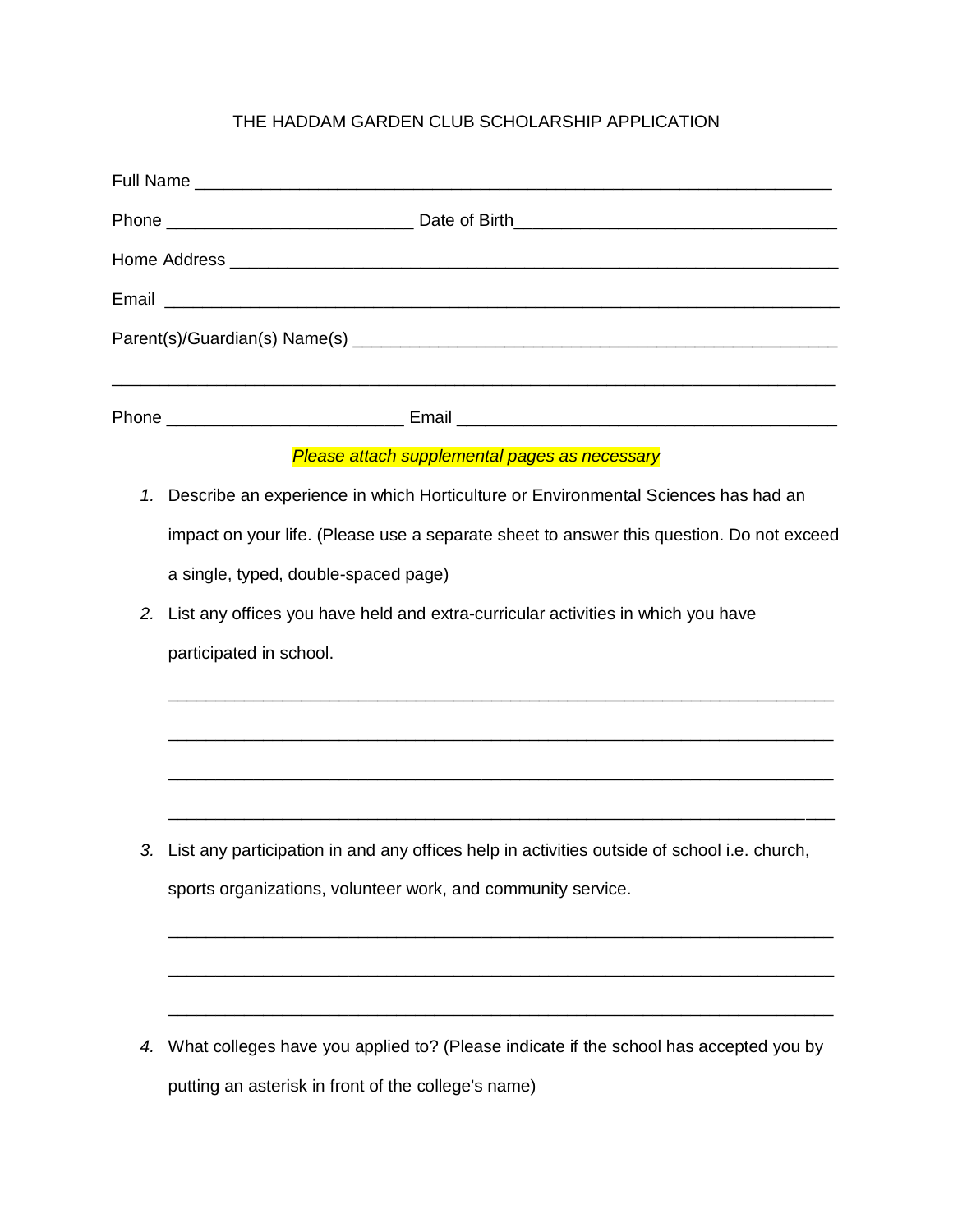## THE HADDAM GARDEN CLUB SCHOLARSHIP APPLICATION

|    | Please attach supplemental pages as necessary                                               |
|----|---------------------------------------------------------------------------------------------|
| 1. | Describe an experience in which Horticulture or Environmental Sciences has had an           |
|    | impact on your life. (Please use a separate sheet to answer this question. Do not exceed    |
|    | a single, typed, double-spaced page)                                                        |
| 2. | List any offices you have held and extra-curricular activities in which you have            |
|    | participated in school.                                                                     |
|    |                                                                                             |
|    |                                                                                             |
| 3. | List any participation in and any offices help in activities outside of school i.e. church, |
|    | sports organizations, volunteer work, and community service.                                |
|    |                                                                                             |
| 4. | What colleges have you applied to? (Please indicate if the school has accepted you by       |

putting an asterisk in front of the college's name)